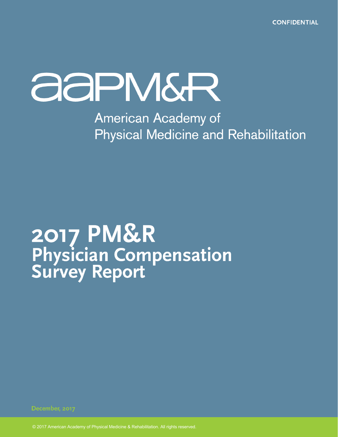**CONFIDENTIAL** 

## **ASPIVIGR**

**American Academy of Physical Medicine and Rehabilitation** 

# 2017 PM&R<br>Physician Compensation<br>Survey Report

© 2017 American Academy of Physical Medicine & Rehabilitation. All rights reserved.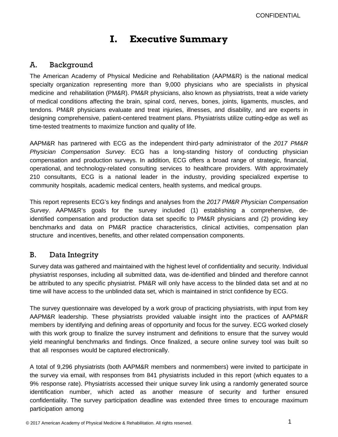### **I. Executive Summary**

#### A. Background

The American Academy of Physical Medicine and Rehabilitation (AAPM&R) is the national medical specialty organization representing more than 9,000 physicians who are specialists in physical medicine and rehabilitation (PM&R). PM&R physicians, also known as physiatrists, treat a wide variety of medical conditions affecting the brain, spinal cord, nerves, bones, joints, ligaments, muscles, and tendons. PM&R physicians evaluate and treat injuries, illnesses, and disability, and are experts in designing comprehensive, patient-centered treatment plans. Physiatrists utilize cutting‐edge as well as time‐tested treatments to maximize function and quality of life.

AAPM&R has partnered with ECG as the independent third-party administrator of the *2017 PM&R Physician Compensation Survey*. ECG has a long-standing history of conducting physician compensation and production surveys. In addition, ECG offers a broad range of strategic, financial, operational, and technology-related consulting services to healthcare providers. With approximately 210 consultants, ECG is a national leader in the industry, providing specialized expertise to community hospitals, academic medical centers, health systems, and medical groups.

This report represents ECG's key findings and analyses from the *2017 PM&R Physician Compensation Survey*. AAPM&R's goals for the survey included (1) establishing a comprehensive, deidentified compensation and production data set specific to PM&R physicians and (2) providing key benchmarks and data on PM&R practice characteristics, clinical activities, compensation plan structure and incentives, benefits, and other related compensation components.

#### B. Data Integrity

Survey data was gathered and maintained with the highest level of confidentiality and security. Individual physiatrist responses, including all submitted data, was de-identified and blinded and therefore cannot be attributed to any specific physiatrist. PM&R will only have access to the blinded data set and at no time will have access to the unblinded data set, which is maintained in strict confidence by ECG.

The survey questionnaire was developed by a work group of practicing physiatrists, with input from key AAPM&R leadership. These physiatrists provided valuable insight into the practices of AAPM&R members by identifying and defining areas of opportunity and focus for the survey. ECG worked closely with this work group to finalize the survey instrument and definitions to ensure that the survey would yield meaningful benchmarks and findings. Once finalized, a secure online survey tool was built so that all responses would be captured electronically.

A total of 9,296 physiatrists (both AAPM&R members and nonmembers) were invited to participate in the survey via email, with responses from 841 physiatrists included in this report (which equates to a 9% response rate). Physiatrists accessed their unique survey link using a randomly generated source identification number, which acted as another measure of security and further ensured confidentiality. The survey participation deadline was extended three times to encourage maximum participation among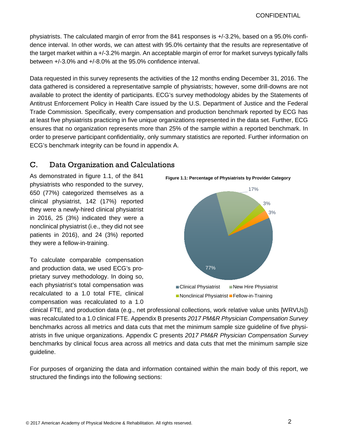physiatrists. The calculated margin of error from the 841 responses is +/-3.2%, based on a 95.0% confidence interval. In other words, we can attest with 95.0% certainty that the results are representative of the target market within a +/-3.2% margin. An acceptable margin of error for market surveys typically falls between +/-3.0% and +/-8.0% at the 95.0% confidence interval.

Data requested in this survey represents the activities of the 12 months ending December 31, 2016. The data gathered is considered a representative sample of physiatrists; however, some drill-downs are not available to protect the identity of participants. ECG's survey methodology abides by the Statements of Antitrust Enforcement Policy in Health Care issued by the U.S. Department of Justice and the Federal Trade Commission. Specifically, every compensation and production benchmark reported by ECG has at least five physiatrists practicing in five unique organizations represented in the data set. Further, ECG ensures that no organization represents more than 25% of the sample within a reported benchmark. In order to preserve participant confidentiality, only summary statistics are reported. Further information on ECG's benchmark integrity can be found in appendix A.

#### C. Data Organization and Calculations

As demonstrated in figure 1.1, of the 841 physiatrists who responded to the survey, 650 (77%) categorized themselves as a clinical physiatrist, 142 (17%) reported they were a newly-hired clinical physiatrist in 2016, 25 (3%) indicated they were a nonclinical physiatrist (i.e., they did not see patients in 2016), and 24 (3%) reported they were a fellow-in-training.

To calculate comparable compensation and production data, we used ECG's proprietary survey methodology. In doing so, each physiatrist's total compensation was recalculated to a 1.0 total FTE, clinical compensation was recalculated to a 1.0



clinical FTE, and production data (e.g., net professional collections, work relative value units [WRVUs]) was recalculated to a 1.0 clinical FTE. Appendix B presents *2017 PM&R Physician Compensation Survey* benchmarks across all metrics and data cuts that met the minimum sample size guideline of five physiatrists in five unique organizations. Appendix C presents *2017 PM&R Physician Compensation Survey* benchmarks by clinical focus area across all metrics and data cuts that met the minimum sample size guideline.

For purposes of organizing the data and information contained within the main body of this report, we structured the findings into the following sections: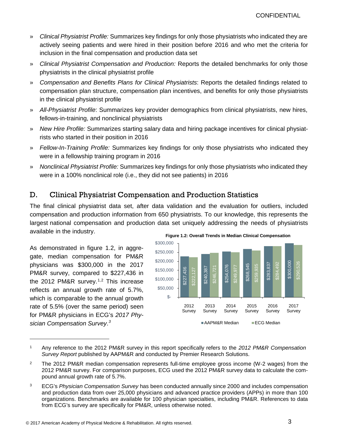- » *Clinical Physiatrist Profile:* Summarizes key findings for only those physiatrists who indicated they are actively seeing patients and were hired in their position before 2016 and who met the criteria for inclusion in the final compensation and production data set
- » *Clinical Physiatrist Compensation and Production:* Reports the detailed benchmarks for only those physiatrists in the clinical physiatrist profile
- » *Compensation and Benefits Plans for Clinical Physiatrists*: Reports the detailed findings related to compensation plan structure, compensation plan incentives, and benefits for only those physiatrists in the clinical physiatrist profile
- » *All-Physiatrist Profile*: Summarizes key provider demographics from clinical physiatrists, new hires, fellows-in-training, and nonclinical physiatrists
- » *New Hire Profile:* Summarizes starting salary data and hiring package incentives for clinical physiatrists who started in their position in 2016
- » *Fellow-In-Training Profile:* Summarizes key findings for only those physiatrists who indicated they were in a fellowship training program in 2016
- » *Nonclinical Physiatrist Profile:* Summarizes key findings for only those physiatrists who indicated they were in a 100% nonclinical role (i.e., they did not see patients) in 2016

#### D. Clinical Physiatrist Compensation and Production Statistics

The final clinical physiatrist data set, after data validation and the evaluation for outliers, included compensation and production information from 650 physiatrists. To our knowledge, this represents the largest national compensation and production data set uniquely addressing the needs of physiatrists available in the industry.

As demonstrated in figure 1.2, in aggregate, median compensation for PM&R physicians was \$300,000 in the 2017 PM&R survey, compared to \$227,436 in the 2012 PM&R survey.<sup>[1,](#page-3-0)[2](#page-3-1)</sup> This increase reflects an annual growth rate of 5.7%, which is comparable to the annual growth rate of 5.5% (over the same period) seen for PM&R physicians in ECG's *2017 Physician Compensation Survey*. *[3](#page-3-2)*



**Figure 1.2: Overall Trends in Median Clinical Compensation**

<span id="page-3-0"></span><sup>1</sup> Any reference to the 2012 PM&R survey in this report specifically refers to the *2012 PM&R Compensation Survey Report* published by AAPM&R and conducted by Premier Research Solutions.

<span id="page-3-1"></span><sup>2</sup> The 2012 PM&R median compensation represents full-time employee gross income (W-2 wages) from the 2012 PM&R survey. For comparison purposes, ECG used the 2012 PM&R survey data to calculate the compound annual growth rate of 5.7%.

<span id="page-3-2"></span><sup>3</sup> ECG's *Physician Compensation Survey* has been conducted annually since 2000 and includes compensation and production data from over 25,000 physicians and advanced practice providers (APPs) in more than 100 organizations. Benchmarks are available for 100 physician specialties, including PM&R. References to data from ECG's survey are specifically for PM&R, unless otherwise noted.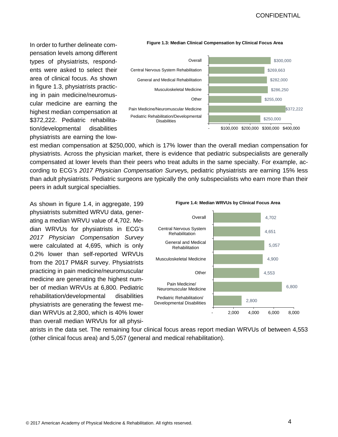In order to further delineate compensation levels among different types of physiatrists, respondents were asked to select their area of clinical focus. As shown in figure 1.3, physiatrists practicing in pain medicine/neuromuscular medicine are earning the highest median compensation at \$372,222. Pediatric rehabilitation/developmental disabilities physiatrists are earning the low-



**Figure 1.3: Median Clinical Compensation by Clinical Focus Area**

est median compensation at \$250,000, which is 17% lower than the overall median compensation for physiatrists. Across the physician market, there is evidence that pediatric subspecialists are generally compensated at lower levels than their peers who treat adults in the same specialty. For example, according to ECG's *2017 Physician Compensation Survey*s, pediatric physiatrists are earning 15% less than adult physiatrists. Pediatric surgeons are typically the only subspecialists who earn more than their peers in adult surgical specialties.

As shown in figure 1.4, in aggregate, 199 physiatrists submitted WRVU data, generating a median WRVU value of 4,702. Median WRVUs for physiatrists in ECG's *2017 Physician Compensation Survey* were calculated at 4,695, which is only 0.2% lower than self-reported WRVUs from the 2017 PM&R survey. Physiatrists practicing in pain medicine/neuromuscular medicine are generating the highest number of median WRVUs at 6,800. Pediatric rehabilitation/developmental disabilities physiatrists are generating the fewest median WRVUs at 2,800, which is 40% lower than overall median WRVUs for all physi-

2,800 6,800 4,553 4,900 5,057 4,651 4,702 - 2,000 4,000 6,000 8,000 Pediatric Rehabilitation/ Developmental Disabilities Pain Medicine/ Neuromuscular Medicine **Other** Musculoskeletal Medicine General and Medical Rehabilitation Central Nervous System Rehabilitation **Overall** 

**Figure 1.4: Median WRVUs by Clinical Focus Area**

atrists in the data set. The remaining four clinical focus areas report median WRVUs of between 4,553 (other clinical focus area) and 5,057 (general and medical rehabilitation).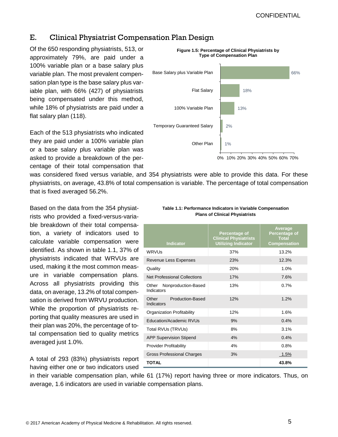#### E. Clinical Physiatrist Compensation Plan Design

Of the 650 responding physiatrists, 513, or approximately 79%, are paid under a 100% variable plan or a base salary plus variable plan. The most prevalent compensation plan type is the base salary plus variable plan, with 66% (427) of physiatrists being compensated under this method, while 18% of physiatrists are paid under a flat salary plan (118).

Each of the 513 physiatrists who indicated they are paid under a 100% variable plan or a base salary plus variable plan was asked to provide a breakdown of the percentage of their total compensation that



was considered fixed versus variable, and 354 physiatrists were able to provide this data. For these physiatrists, on average, 43.8% of total compensation is variable. The percentage of total compensation that is fixed averaged 56.2%.

Based on the data from the 354 physiatrists who provided a fixed-versus-variable breakdown of their total compensation, a variety of indicators used to calculate variable compensation were identified. As shown in table 1.1, 37% of physiatrists indicated that WRVUs are used, making it the most common measure in variable compensation plans. Across all physiatrists providing this data, on average, 13.2% of total compensation is derived from WRVU production. While the proportion of physiatrists reporting that quality measures are used in their plan was 20%, the percentage of total compensation tied to quality metrics averaged just 1.0%.

A total of 293 (83%) physiatrists report having either one or two indicators used -

| Table 1.1: Performance Indicators in Variable Compensation |
|------------------------------------------------------------|
| <b>Plans of Clinical Physiatrists</b>                      |

| <b>Indicator</b>                           | Percentage of<br><b>Clinical Physiatrists</b><br><b>Utilizing Indicator</b> | <b>Average</b><br>Percentage of<br><b>Total</b><br><b>Compensation</b> |
|--------------------------------------------|-----------------------------------------------------------------------------|------------------------------------------------------------------------|
| WRVUs                                      | 37%                                                                         | 13.2%                                                                  |
| Revenue Less Expenses                      | 23%                                                                         | 12.3%                                                                  |
| Quality                                    | 20%                                                                         | 1.0%                                                                   |
| Net Professional Collections               | 17%                                                                         | 7.6%                                                                   |
| Nonproduction-Based<br>Other<br>Indicators | 13%                                                                         | 0.7%                                                                   |
| Other Production-Based<br>Indicators       | 12%                                                                         | 1.2%                                                                   |
| Organization Profitability                 | 12%                                                                         | 1.6%                                                                   |
| Education/Academic RVUs                    | 9%                                                                          | 0.4%                                                                   |
| Total RVUs (TRVUs)                         | 8%                                                                          | 3.1%                                                                   |
| <b>APP Supervision Stipend</b>             | 4%                                                                          | 0.4%                                                                   |
| <b>Provider Profitability</b>              | 4%                                                                          | 0.8%                                                                   |
| <b>Gross Professional Charges</b>          | 3%                                                                          | $1.5\%$                                                                |
| TOTAL                                      |                                                                             | 43.8%                                                                  |

in their variable compensation plan, while 61 (17%) report having three or more indicators. Thus, on average, 1.6 indicators are used in variable compensation plans.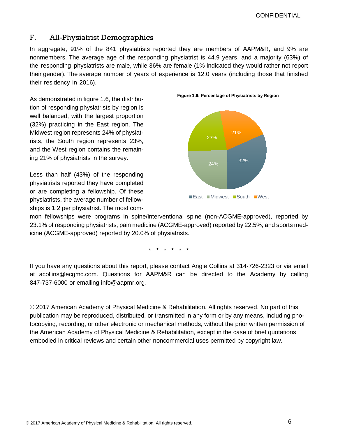**CONFIDENTIAL** 

#### F. All-Physiatrist Demographics

In aggregate, 91% of the 841 physiatrists reported they are members of AAPM&R, and 9% are nonmembers. The average age of the responding physiatrist is 44.9 years, and a majority (63%) of the responding physiatrists are male, while 36% are female (1% indicated they would rather not report their gender). The average number of years of experience is 12.0 years (including those that finished their residency in 2016).

As demonstrated in figure 1.6, the distribution of responding physiatrists by region is well balanced, with the largest proportion (32%) practicing in the East region. The Midwest region represents 24% of physiatrists, the South region represents 23%, and the West region contains the remaining 21% of physiatrists in the survey.

Less than half (43%) of the responding physiatrists reported they have completed or are completing a fellowship. Of these physiatrists, the average number of fellowships is 1.2 per physiatrist. The most com-



**Figure 1.6: Percentage of Physiatrists by Region** 

mon fellowships were programs in spine/interventional spine (non-ACGME-approved), reported by 23.1% of responding physiatrists; pain medicine (ACGME-approved) reported by 22.5%; and sports medicine (ACGME-approved) reported by 20.0% of physiatrists.

\*\*\*\*\* \*

If you have any questions about this report, please contact Angie Collins at 314-726-2323 or via email at acollins@ecgmc.com. Questions for AAPM&R can be directed to the Academy by calling 847-737-6000 or emailing info@aapmr.org*.*

© 2017 American Academy of Physical Medicine & Rehabilitation. All rights reserved. No part of this publication may be reproduced, distributed, or transmitted in any form or by any means, including photocopying, recording, or other electronic or mechanical methods, without the prior written permission of the American Academy of Physical Medicine & Rehabilitation, except in the case of brief quotations embodied in critical reviews and certain other noncommercial uses permitted by copyright law.